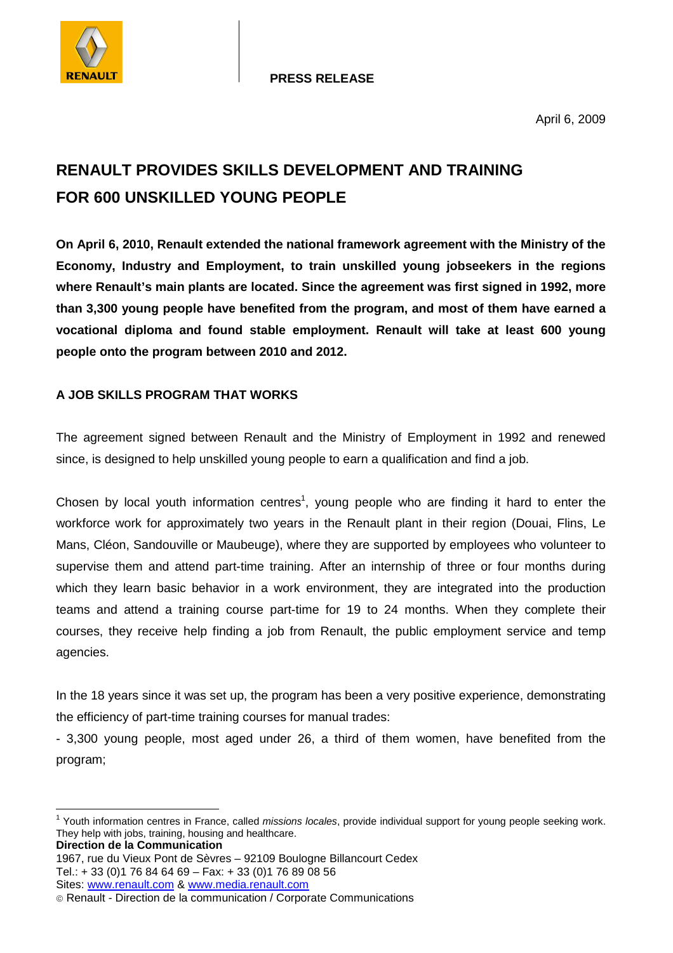

**PRESS RELEASE**

# **RENAULT PROVIDES SKILLS DEVELOPMENT AND TRAINING FOR 600 UNSKILLED YOUNG PEOPLE**

**On April 6, 2010, Renault extended the national framework agreement with the Ministry of the Economy, Industry and Employment, to train unskilled young jobseekers in the regions where Renault's main plants are located. Since the agreement was first signed in 1992, more than 3,300 young people have benefited from the program, and most of them have earned a vocational diploma and found stable employment. Renault will take at least 600 young people onto the program between 2010 and 2012.** 

## **A JOB SKILLS PROGRAM THAT WORKS**

The agreement signed between Renault and the Ministry of Employment in 1992 and renewed since, is designed to help unskilled young people to earn a qualification and find a job.

Chosen by local youth information centres<sup>1</sup>, young people who are finding it hard to enter the workforce work for approximately two years in the Renault plant in their region (Douai, Flins, Le Mans, Cléon, Sandouville or Maubeuge), where they are supported by employees who volunteer to supervise them and attend part-time training. After an internship of three or four months during which they learn basic behavior in a work environment, they are integrated into the production teams and attend a training course part-time for 19 to 24 months. When they complete their courses, they receive help finding a job from Renault, the public employment service and temp agencies.

In the 18 years since it was set up, the program has been a very positive experience, demonstrating the efficiency of part-time training courses for manual trades:

- 3,300 young people, most aged under 26, a third of them women, have benefited from the program;

**Direction de la Communication** 

1967, rue du Vieux Pont de Sèvres – 92109 Boulogne Billancourt Cedex Tel.: + 33 (0)1 76 84 64 69 – Fax: + 33 (0)1 76 89 08 56 Sites: www.renault.com & www.media.renault.com

The United States of the Counter of the Counter of the United States of the United States of the States of the<br>The information centres in France, called *missions locales*, provide individual support for young people seeki They help with jobs, training, housing and healthcare.

Renault - Direction de la communication / Corporate Communications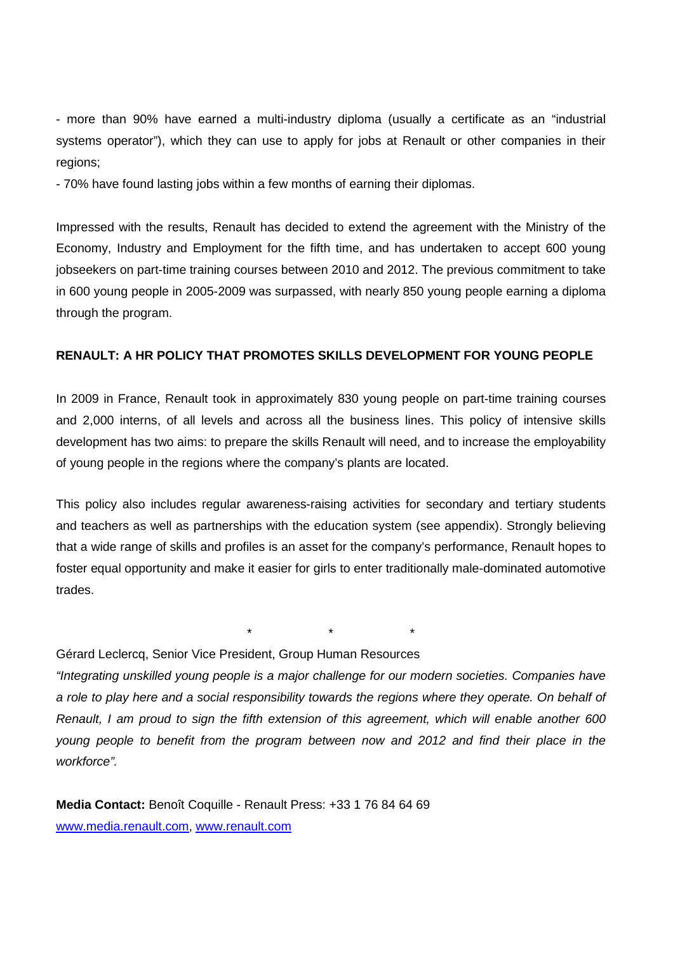- more than 90% have earned a multi-industry diploma (usually a certificate as an "industrial systems operator"), which they can use to apply for jobs at Renault or other companies in their regions;

- 70% have found lasting jobs within a few months of earning their diplomas.

Impressed with the results, Renault has decided to extend the agreement with the Ministry of the Economy, Industry and Employment for the fifth time, and has undertaken to accept 600 young jobseekers on part-time training courses between 2010 and 2012. The previous commitment to take in 600 young people in 2005-2009 was surpassed, with nearly 850 young people earning a diploma through the program.

## **RENAULT: A HR POLICY THAT PROMOTES SKILLS DEVELOPMENT FOR YOUNG PEOPLE**

In 2009 in France, Renault took in approximately 830 young people on part-time training courses and 2,000 interns, of all levels and across all the business lines. This policy of intensive skills development has two aims: to prepare the skills Renault will need, and to increase the employability of young people in the regions where the company's plants are located.

This policy also includes regular awareness-raising activities for secondary and tertiary students and teachers as well as partnerships with the education system (see appendix). Strongly believing that a wide range of skills and profiles is an asset for the company's performance, Renault hopes to foster equal opportunity and make it easier for girls to enter traditionally male-dominated automotive trades.

\* \* \*

## Gérard Leclercq, Senior Vice President, Group Human Resources

"Integrating unskilled young people is a major challenge for our modern societies. Companies have a role to play here and a social responsibility towards the regions where they operate. On behalf of Renault, I am proud to sign the fifth extension of this agreement, which will enable another 600 young people to benefit from the program between now and 2012 and find their place in the workforce".

**Media Contact:** Benoît Coquille - Renault Press: +33 1 76 84 64 69 www.media.renault.com, www.renault.com